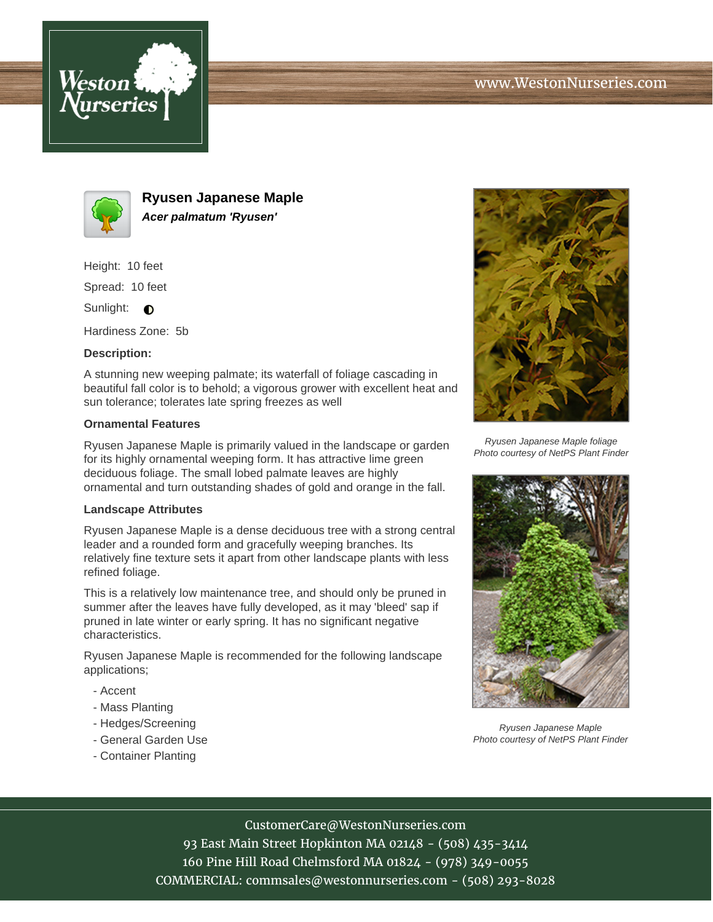



**Ryusen Japanese Maple Acer palmatum 'Ryusen'**

Height: 10 feet

Spread: 10 feet

Sunlight:  $\bigcirc$ 

Hardiness Zone: 5b

# **Description:**

A stunning new weeping palmate; its waterfall of foliage cascading in beautiful fall color is to behold; a vigorous grower with excellent heat and sun tolerance; tolerates late spring freezes as well

# **Ornamental Features**

Ryusen Japanese Maple is primarily valued in the landscape or garden for its highly ornamental weeping form. It has attractive lime green deciduous foliage. The small lobed palmate leaves are highly ornamental and turn outstanding shades of gold and orange in the fall.

# **Landscape Attributes**

Ryusen Japanese Maple is a dense deciduous tree with a strong central leader and a rounded form and gracefully weeping branches. Its relatively fine texture sets it apart from other landscape plants with less refined foliage.

This is a relatively low maintenance tree, and should only be pruned in summer after the leaves have fully developed, as it may 'bleed' sap if pruned in late winter or early spring. It has no significant negative characteristics.

Ryusen Japanese Maple is recommended for the following landscape applications;

- Accent
- Mass Planting
- Hedges/Screening
- General Garden Use
- Container Planting



Ryusen Japanese Maple foliage Photo courtesy of NetPS Plant Finder



Ryusen Japanese Maple Photo courtesy of NetPS Plant Finder

# CustomerCare@WestonNurseries.com

93 East Main Street Hopkinton MA 02148 - (508) 435-3414 160 Pine Hill Road Chelmsford MA 01824 - (978) 349-0055 COMMERCIAL: commsales@westonnurseries.com - (508) 293-8028